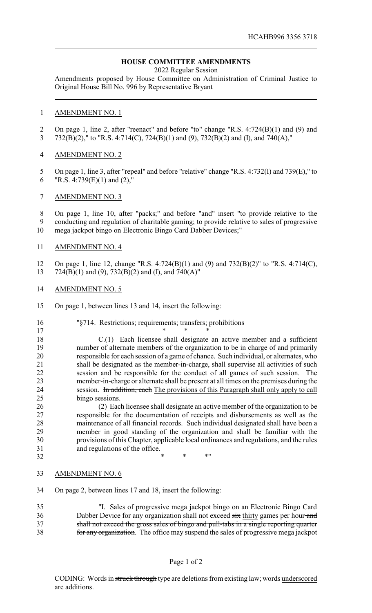## **HOUSE COMMITTEE AMENDMENTS**

2022 Regular Session

Amendments proposed by House Committee on Administration of Criminal Justice to Original House Bill No. 996 by Representative Bryant

## AMENDMENT NO. 1

 On page 1, line 2, after "reenact" and before "to" change "R.S. 4:724(B)(1) and (9) and 732(B)(2)," to "R.S. 4:714(C), 724(B)(1) and (9), 732(B)(2) and (I), and 740(A),"

## AMENDMENT NO. 2

- 5 On page 1, line 3, after "repeal" and before "relative" change "R.S. 4:732(I) and 739(E)," to 6 "R.S. 4:739 $(E)(1)$  and  $(2)$ ,"
- AMENDMENT NO. 3

 On page 1, line 10, after "packs;" and before "and" insert "to provide relative to the conducting and regulation of charitable gaming; to provide relative to sales of progressive mega jackpot bingo on Electronic Bingo Card Dabber Devices;"

AMENDMENT NO. 4

 On page 1, line 12, change "R.S. 4:724(B)(1) and (9) and 732(B)(2)" to "R.S. 4:714(C), 724(B)(1) and (9), 732(B)(2) and (I), and 740(A)"

- AMENDMENT NO. 5
- On page 1, between lines 13 and 14, insert the following:

| 16 | "§714. Restrictions; requirements; transfers; prohibitions                             |
|----|----------------------------------------------------------------------------------------|
| 17 |                                                                                        |
| 18 | C.(1) Each licensee shall designate an active member and a sufficient                  |
| 19 | number of alternate members of the organization to be in charge of and primarily       |
| 20 | responsible for each session of a game of chance. Such individual, or alternates, who  |
| 21 | shall be designated as the member-in-charge, shall supervise all activities of such    |
| 22 | session and be responsible for the conduct of all games of such session. The           |
| 23 | member-in-charge or alternate shall be present at all times on the premises during the |
| 24 | session. In addition, each The provisions of this Paragraph shall only apply to call   |
| 25 | bingo sessions.                                                                        |
| 26 | (2) Each licensee shall designate an active member of the organization to be           |
| 27 | responsible for the documentation of receipts and disbursements as well as the         |
| 28 | maintenance of all financial records. Such individual designated shall have been a     |
| 29 | member in good standing of the organization and shall be familiar with the             |
| 30 | provisions of this Chapter, applicable local ordinances and regulations, and the rules |

32 \* \* \* \* \* \*

and regulations of the office.

- AMENDMENT NO. 6
- On page 2, between lines 17 and 18, insert the following:

 "I. Sales of progressive mega jackpot bingo on an Electronic Bingo Card 36 Dabber Device for any organization shall not exceed six thirty games per hour and shall not exceed the gross sales of bingo and pull-tabs in a single reporting quarter for any organization. The office may suspend the sales of progressive mega jackpot